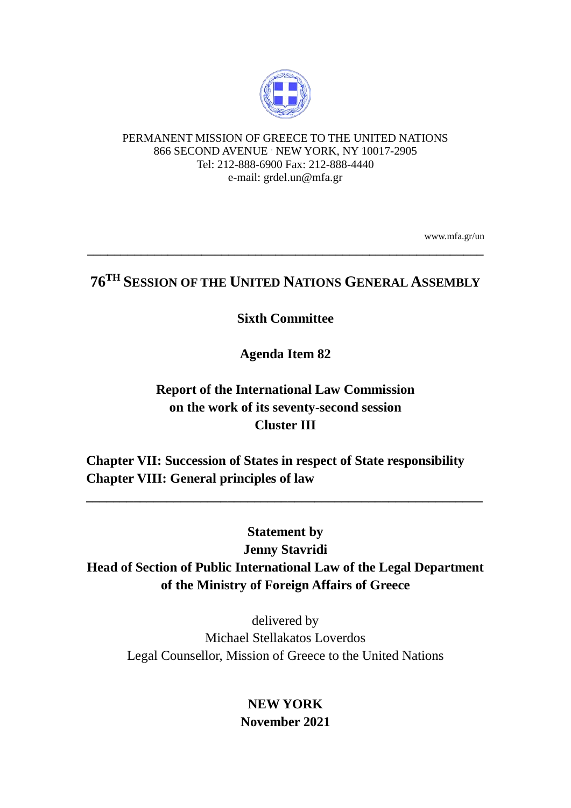

#### PERMANENT MISSION OF GREECE TO THE UNITED NATIONS 866 SECOND AVENUE . NEW YORK, NY 10017-2905 Tel: 212-888-6900 Fax: 212-888-4440 e-mail: grdel.un@mfa.gr

www.mfa.gr/un

# **76TH SESSION OF THE UNITED NATIONS GENERAL ASSEMBLY**

**\_\_\_\_\_\_\_\_\_\_\_\_\_\_\_\_\_\_\_\_\_\_\_\_\_\_\_\_\_\_\_\_\_\_\_\_\_\_\_\_\_\_\_\_\_\_\_\_\_\_\_\_\_\_\_\_\_\_\_**

### **Sixth Committee**

**Agenda Item 82**

## **Report of the International Law Commission on the work of its seventy-second session Cluster III**

**Chapter VII: Succession of States in respect of State responsibility Chapter VIII: General principles of law**

# **Statement by**

**\_\_\_\_\_\_\_\_\_\_\_\_\_\_\_\_\_\_\_\_\_\_\_\_\_\_\_\_\_\_\_\_\_\_\_\_\_\_\_\_\_\_\_\_\_\_\_\_\_\_\_\_\_\_\_\_\_\_\_**

**Jenny Stavridi**

**Head of Section of Public International Law of the Legal Department of the Ministry of Foreign Affairs of Greece**

delivered by Michael Stellakatos Loverdos Legal Counsellor, Mission of Greece to the United Nations

> **NEW YORK November 2021**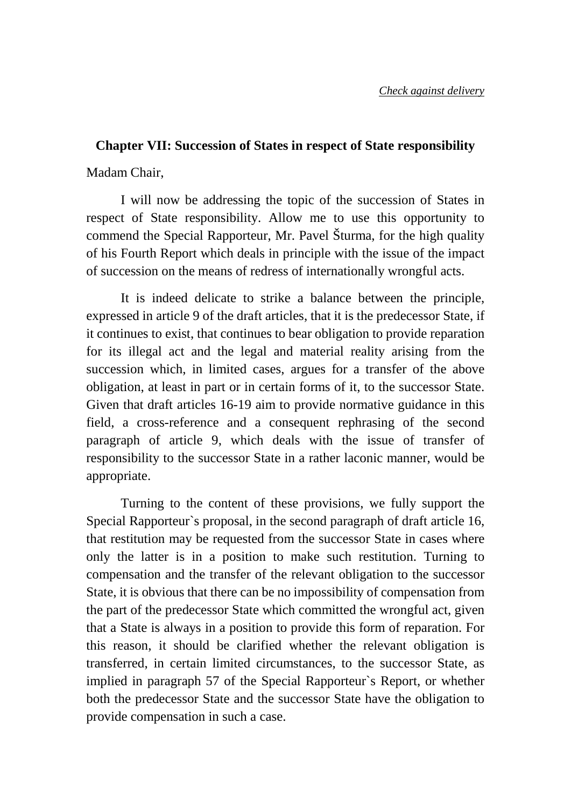#### **Chapter VII: Succession of States in respect of State responsibility**

Madam Chair,

I will now be addressing the topic of the succession of States in respect of State responsibility. Allow me to use this opportunity to commend the Special Rapporteur, Mr. Pavel Šturma, for the high quality of his Fourth Report which deals in principle with the issue of the impact of succession on the means of redress of internationally wrongful acts.

It is indeed delicate to strike a balance between the principle, expressed in article 9 of the draft articles, that it is the predecessor State, if it continues to exist, that continues to bear obligation to provide reparation for its illegal act and the legal and material reality arising from the succession which, in limited cases, argues for a transfer of the above obligation, at least in part or in certain forms of it, to the successor State. Given that draft articles 16-19 aim to provide normative guidance in this field, a cross-reference and a consequent rephrasing of the second paragraph of article 9, which deals with the issue of transfer of responsibility to the successor State in a rather laconic manner, would be appropriate.

Turning to the content of these provisions, we fully support the Special Rapporteur`s proposal, in the second paragraph of draft article 16, that restitution may be requested from the successor State in cases where only the latter is in a position to make such restitution. Turning to compensation and the transfer of the relevant obligation to the successor State, it is obvious that there can be no impossibility of compensation from the part of the predecessor State which committed the wrongful act, given that a State is always in a position to provide this form of reparation. For this reason, it should be clarified whether the relevant obligation is transferred, in certain limited circumstances, to the successor State, as implied in paragraph 57 of the Special Rapporteur`s Report, or whether both the predecessor State and the successor State have the obligation to provide compensation in such a case.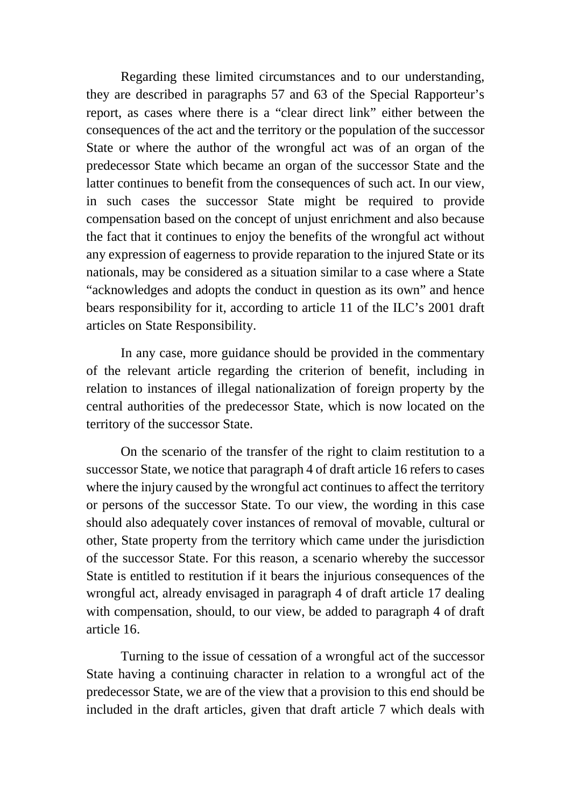Regarding these limited circumstances and to our understanding, they are described in paragraphs 57 and 63 of the Special Rapporteur's report, as cases where there is a "clear direct link" either between the consequences of the act and the territory or the population of the successor State or where the author of the wrongful act was of an organ of the predecessor State which became an organ of the successor State and the latter continues to benefit from the consequences of such act. In our view, in such cases the successor State might be required to provide compensation based on the concept of unjust enrichment and also because the fact that it continues to enjoy the benefits of the wrongful act without any expression of eagerness to provide reparation to the injured State or its nationals, may be considered as a situation similar to a case where a State "acknowledges and adopts the conduct in question as its own" and hence bears responsibility for it, according to article 11 of the ILC's 2001 draft articles on State Responsibility.

In any case, more guidance should be provided in the commentary of the relevant article regarding the criterion of benefit, including in relation to instances of illegal nationalization of foreign property by the central authorities of the predecessor State, which is now located on the territory of the successor State.

On the scenario of the transfer of the right to claim restitution to a successor State, we notice that paragraph 4 of draft article 16 refers to cases where the injury caused by the wrongful act continues to affect the territory or persons of the successor State. To our view, the wording in this case should also adequately cover instances of removal of movable, cultural or other, State property from the territory which came under the jurisdiction of the successor State. For this reason, a scenario whereby the successor State is entitled to restitution if it bears the injurious consequences of the wrongful act, already envisaged in paragraph 4 of draft article 17 dealing with compensation, should, to our view, be added to paragraph 4 of draft article 16.

Turning to the issue of cessation of a wrongful act of the successor State having a continuing character in relation to a wrongful act of the predecessor State, we are of the view that a provision to this end should be included in the draft articles, given that draft article 7 which deals with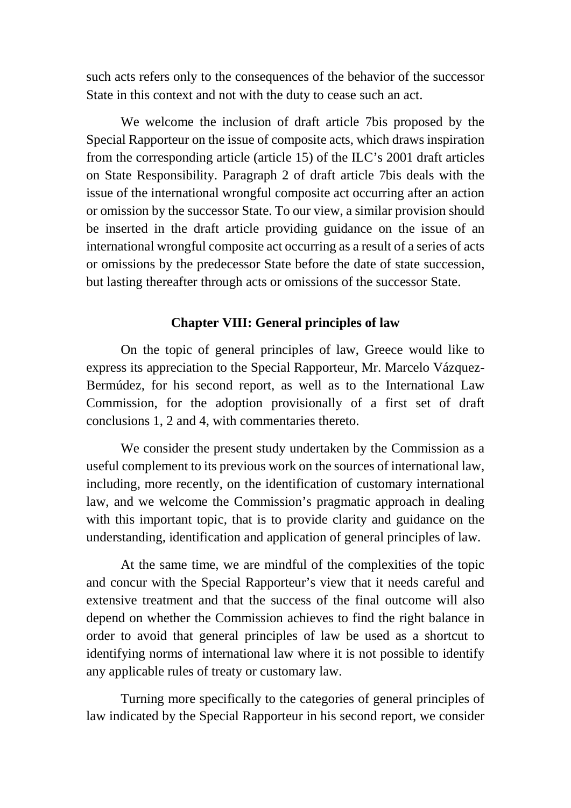such acts refers only to the consequences of the behavior of the successor State in this context and not with the duty to cease such an act.

We welcome the inclusion of draft article 7bis proposed by the Special Rapporteur on the issue of composite acts, which draws inspiration from the corresponding article (article 15) of the ILC's 2001 draft articles on State Responsibility. Paragraph 2 of draft article 7bis deals with the issue of the international wrongful composite act occurring after an action or omission by the successor State. To our view, a similar provision should be inserted in the draft article providing guidance on the issue of an international wrongful composite act occurring as a result of a series of acts or omissions by the predecessor State before the date of state succession, but lasting thereafter through acts or omissions of the successor State.

#### **Chapter VIII: General principles of law**

On the topic of general principles of law, Greece would like to express its appreciation to the Special Rapporteur, Mr. Marcelo Vázquez-Bermúdez, for his second report, as well as to the International Law Commission, for the adoption provisionally of a first set of draft conclusions 1, 2 and 4, with commentaries thereto.

We consider the present study undertaken by the Commission as a useful complement to its previous work on the sources of international law, including, more recently, on the identification of customary international law, and we welcome the Commission's pragmatic approach in dealing with this important topic, that is to provide clarity and guidance on the understanding, identification and application of general principles of law.

At the same time, we are mindful of the complexities of the topic and concur with the Special Rapporteur's view that it needs careful and extensive treatment and that the success of the final outcome will also depend on whether the Commission achieves to find the right balance in order to avoid that general principles of law be used as a shortcut to identifying norms of international law where it is not possible to identify any applicable rules of treaty or customary law.

Turning more specifically to the categories of general principles of law indicated by the Special Rapporteur in his second report, we consider